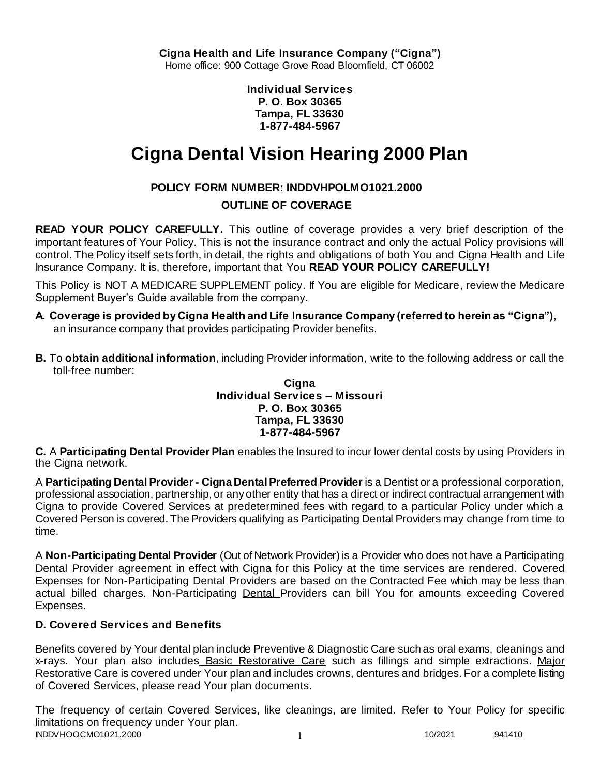**Individual Services P. O. Box 30365 Tampa, FL 33630 1-877-484-5967**

# **Cigna Dental Vision Hearing 2000 Plan**

# **POLICY FORM NUMBER: INDDVHPOLMO1021.2000**

# **OUTLINE OF COVERAGE**

**READ YOUR POLICY CAREFULLY.** This outline of coverage provides a very brief description of the important features of Your Policy. This is not the insurance contract and only the actual Policy provisions will control. The Policy itself sets forth, in detail, the rights and obligations of both You and Cigna Health and Life Insurance Company. It is, therefore, important that You **READ YOUR POLICY CAREFULLY!** 

This Policy is NOT A MEDICARE SUPPLEMENT policy. If You are eligible for Medicare, review the Medicare Supplement Buyer's Guide available from the company.

- **A. Coverage is provided by Cigna Health and Life Insurance Company (referred to herein as "Cigna"),**  an insurance company that provides participating Provider benefits.
- **B.** To **obtain additional information**, including Provider information, write to the following address or call the toll-free number:

#### **Cigna Individual Services – Missouri P. O. Box 30365 Tampa, FL 33630 1-877-484-5967**

**C.** A **Participating Dental Provider Plan** enables the Insured to incur lower dental costs by using Providers in the Cigna network.

A **Participating Dental Provider - Cigna Dental Preferred Provider** is a Dentist or a professional corporation, professional association, partnership, or any other entity that has a direct or indirect contractual arrangement with Cigna to provide Covered Services at predetermined fees with regard to a particular Policy under which a Covered Person is covered. The Providers qualifying as Participating Dental Providers may change from time to time.

A **Non-Participating Dental Provider** (Out of Network Provider) is a Provider who does not have a Participating Dental Provider agreement in effect with Cigna for this Policy at the time services are rendered. Covered Expenses for Non-Participating Dental Providers are based on the Contracted Fee which may be less than actual billed charges. Non-Participating Dental Providers can bill You for amounts exceeding Covered Expenses.

# **D. Covered Services and Benefits**

Benefits covered by Your dental plan include Preventive & Diagnostic Care such as oral exams, cleanings and x-rays. Your plan also includes Basic Restorative Care such as fillings and simple extractions. Major Restorative Care is covered under Your plan and includes crowns, dentures and bridges. For a complete listing of Covered Services, please read Your plan documents.

INDDVHOOCMO1021.2000 1 10/2021 941410 The frequency of certain Covered Services, like cleanings, are limited. Refer to Your Policy for specific limitations on frequency under Your plan.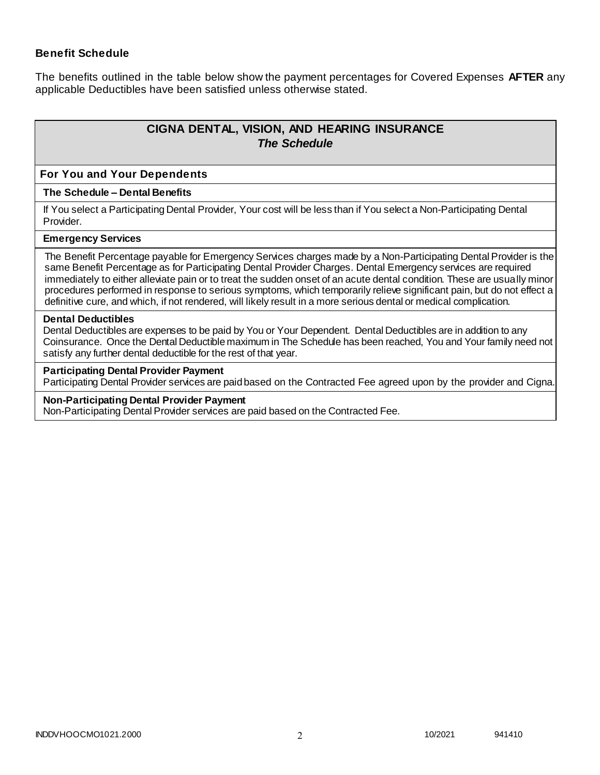## **Benefit Schedule**

The benefits outlined in the table below show the payment percentages for Covered Expenses **AFTER** any applicable Deductibles have been satisfied unless otherwise stated.

# **CIGNA DENTAL, VISION, AND HEARING INSURANCE** *The Schedule*

#### **For You and Your Dependents**

#### **The Schedule – Dental Benefits**

If You select a Participating Dental Provider, Your cost will be less than if You select a Non-Participating Dental Provider.

#### **Emergency Services**

The Benefit Percentage payable for Emergency Services charges made by a Non-Participating Dental Provider is the same Benefit Percentage as for Participating Dental Provider Charges. Dental Emergency services are required immediately to either alleviate pain or to treat the sudden onset of an acute dental condition. These are usually minor procedures performed in response to serious symptoms, which temporarily relieve significant pain, but do not effect a definitive cure, and which, if not rendered, will likely result in a more serious dental or medical complication.

#### **Dental Deductibles**

Dental Deductibles are expenses to be paid by You or Your Dependent. Dental Deductibles are in addition to any Coinsurance. Once the Dental Deductible maximum in The Schedule has been reached, You and Your family need not satisfy any further dental deductible for the rest of that year.

#### **Participating Dental Provider Payment**

Participating Dental Provider services are paid based on the Contracted Fee agreed upon by the provider and Cigna.

#### **Non-Participating Dental Provider Payment**

Non-Participating Dental Provider services are paid based on the Contracted Fee.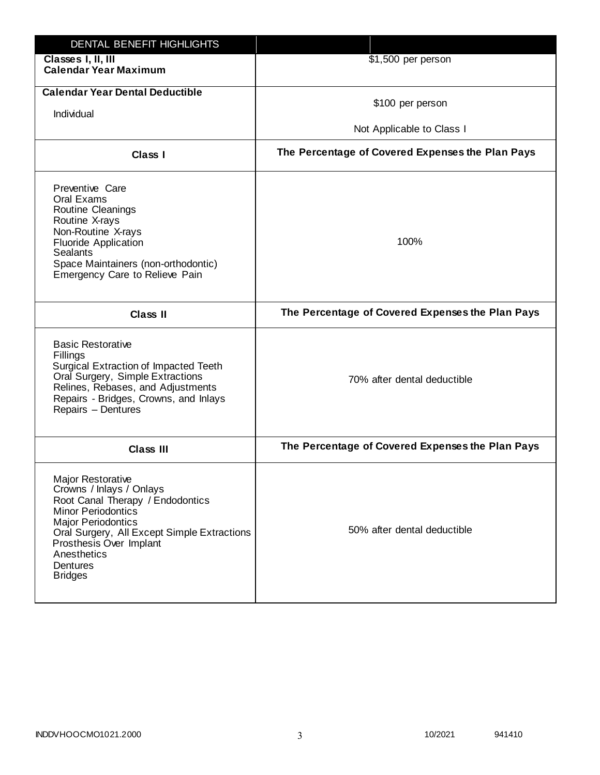| DENTAL BENEFIT HIGHLIGHTS                                                                                                                                                                                                                                                 |                                                  |
|---------------------------------------------------------------------------------------------------------------------------------------------------------------------------------------------------------------------------------------------------------------------------|--------------------------------------------------|
| Classes I, II, III<br><b>Calendar Year Maximum</b>                                                                                                                                                                                                                        | \$1,500 per person                               |
| <b>Calendar Year Dental Deductible</b><br>Individual                                                                                                                                                                                                                      | \$100 per person                                 |
|                                                                                                                                                                                                                                                                           | Not Applicable to Class I                        |
| Class I                                                                                                                                                                                                                                                                   | The Percentage of Covered Expenses the Plan Pays |
| Preventive Care<br>Oral Exams<br>Routine Cleanings<br>Routine X-rays<br>Non-Routine X-rays<br><b>Fluoride Application</b><br><b>Sealants</b><br>Space Maintainers (non-orthodontic)<br>Emergency Care to Relieve Pain                                                     | 100%                                             |
| <b>Class II</b>                                                                                                                                                                                                                                                           | The Percentage of Covered Expenses the Plan Pays |
| <b>Basic Restorative</b><br>Fillings<br>Surgical Extraction of Impacted Teeth<br>Oral Surgery, Simple Extractions<br>Relines, Rebases, and Adjustments<br>Repairs - Bridges, Crowns, and Inlays<br>Repairs - Dentures                                                     | 70% after dental deductible                      |
| <b>Class III</b>                                                                                                                                                                                                                                                          | The Percentage of Covered Expenses the Plan Pays |
| <b>Major Restorative</b><br>Crowns / Inlays / Onlays<br>Root Canal Therapy / Endodontics<br><b>Minor Periodontics</b><br><b>Major Periodontics</b><br>Oral Surgery, All Except Simple Extractions<br>Prosthesis Over Implant<br>Anesthetics<br>Dentures<br><b>Bridges</b> | 50% after dental deductible                      |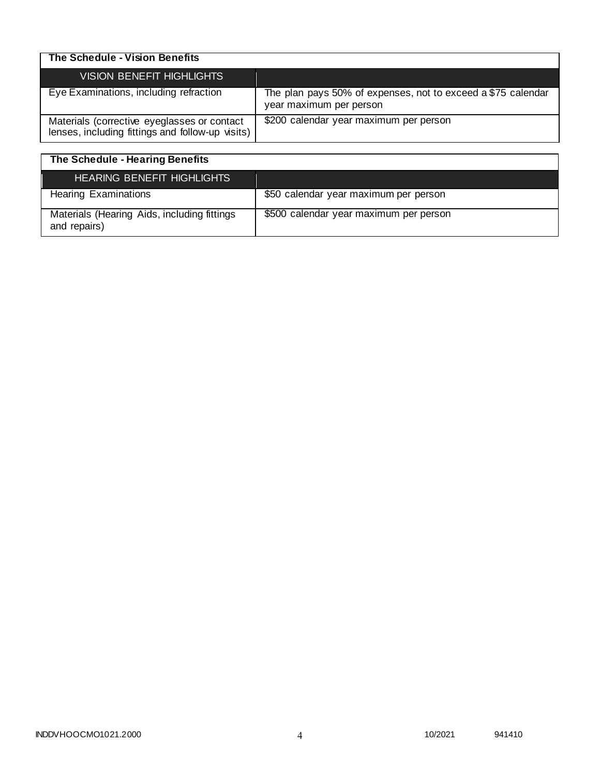| The Schedule - Vision Benefits                                                                  |                                                                                         |
|-------------------------------------------------------------------------------------------------|-----------------------------------------------------------------------------------------|
| VISION BENEFIT HIGHLIGHTS                                                                       |                                                                                         |
| Eye Examinations, including refraction                                                          | The plan pays 50% of expenses, not to exceed a \$75 calendar<br>year maximum per person |
| Materials (corrective eyeglasses or contact<br>lenses, including fittings and follow-up visits) | \$200 calendar year maximum per person                                                  |

| The Schedule - Hearing Benefits                             |                                        |
|-------------------------------------------------------------|----------------------------------------|
| <b>HEARING BENEFIT HIGHLIGHTS</b>                           |                                        |
| <b>Hearing Examinations</b>                                 | \$50 calendar year maximum per person  |
| Materials (Hearing Aids, including fittings<br>and repairs) | \$500 calendar year maximum per person |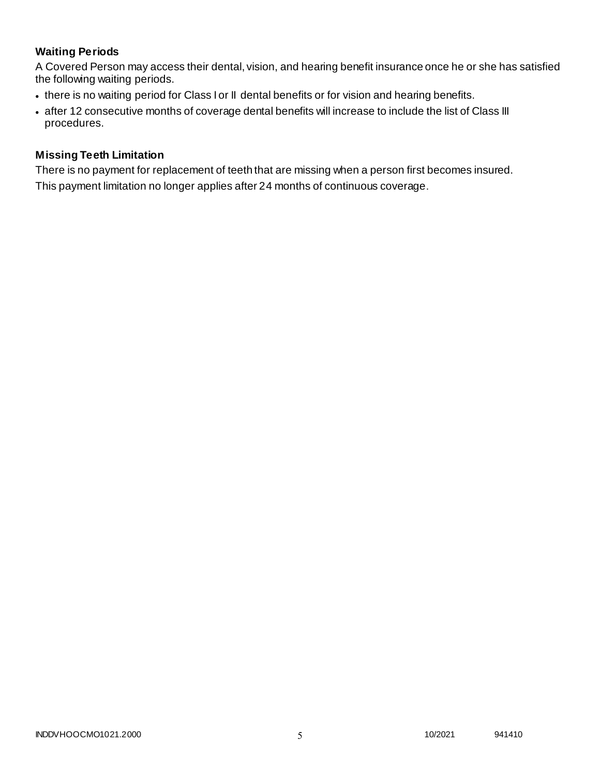# **Waiting Periods**

A Covered Person may access their dental, vision, and hearing benefit insurance once he or she has satisfied the following waiting periods.

- there is no waiting period for Class I or II dental benefits or for vision and hearing benefits.
- after 12 consecutive months of coverage dental benefits will increase to include the list of Class III procedures.

## **Missing Teeth Limitation**

There is no payment for replacement of teeth that are missing when a person first becomes insured. This payment limitation no longer applies after 24 months of continuous coverage.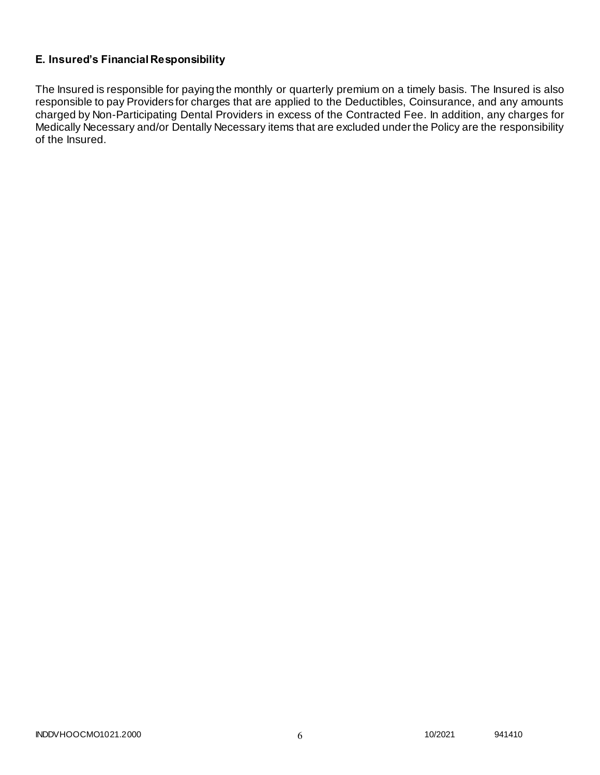# **E. Insured's Financial Responsibility**

The Insured is responsible for paying the monthly or quarterly premium on a timely basis. The Insured is also responsible to pay Providers for charges that are applied to the Deductibles, Coinsurance, and any amounts charged by Non-Participating Dental Providers in excess of the Contracted Fee. In addition, any charges for Medically Necessary and/or Dentally Necessary items that are excluded under the Policy are the responsibility of the Insured.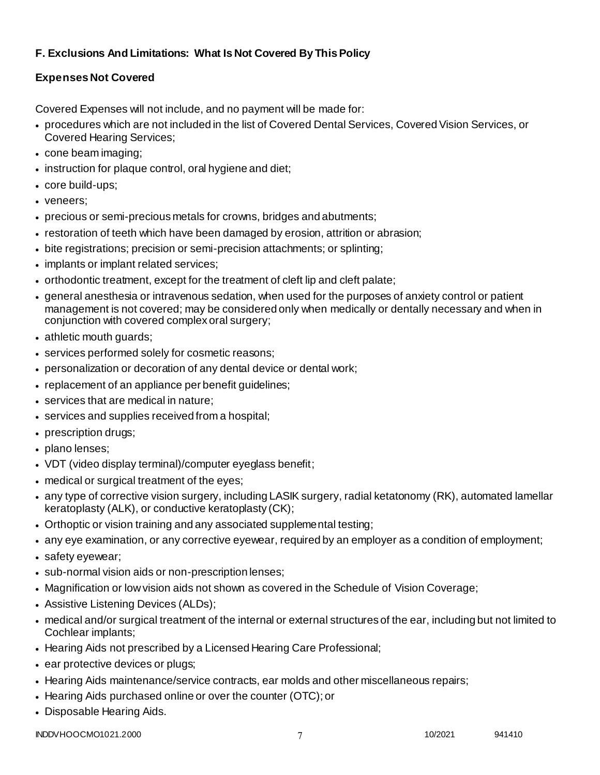# **F. Exclusions And Limitations: What Is Not Covered By This Policy**

# **Expenses Not Covered**

Covered Expenses will not include, and no payment will be made for:

- procedures which are not included in the list of Covered Dental Services, Covered Vision Services, or Covered Hearing Services;
- cone beam imaging;
- instruction for plaque control, oral hygiene and diet;
- core build-ups;
- veneers;
- precious or semi-precious metals for crowns, bridges and abutments;
- restoration of teeth which have been damaged by erosion, attrition or abrasion;
- bite registrations; precision or semi-precision attachments; or splinting;
- implants or implant related services;
- orthodontic treatment, except for the treatment of cleft lip and cleft palate;
- general anesthesia or intravenous sedation, when used for the purposes of anxiety control or patient management is not covered; may be considered only when medically or dentally necessary and when in conjunction with covered complex oral surgery;
- athletic mouth guards;
- services performed solely for cosmetic reasons;
- personalization or decoration of any dental device or dental work;
- replacement of an appliance per benefit guidelines;
- services that are medical in nature:
- services and supplies received from a hospital;
- prescription drugs;
- plano lenses:
- VDT (video display terminal)/computer eyeglass benefit;
- medical or surgical treatment of the eyes;
- any type of corrective vision surgery, including LASIK surgery, radial ketatonomy (RK), automated lamellar keratoplasty (ALK), or conductive keratoplasty (CK);
- Orthoptic or vision training and any associated supplemental testing;
- any eye examination, or any corrective eyewear, required by an employer as a condition of employment;
- safety eyewear;
- sub-normal vision aids or non-prescription lenses;
- Magnification or low vision aids not shown as covered in the Schedule of Vision Coverage;
- Assistive Listening Devices (ALDs);
- medical and/or surgical treatment of the internal or external structures of the ear, including but not limited to Cochlear implants;
- Hearing Aids not prescribed by a Licensed Hearing Care Professional;
- ear protective devices or plugs;
- Hearing Aids maintenance/service contracts, ear molds and other miscellaneous repairs;
- Hearing Aids purchased online or over the counter (OTC); or
- Disposable Hearing Aids.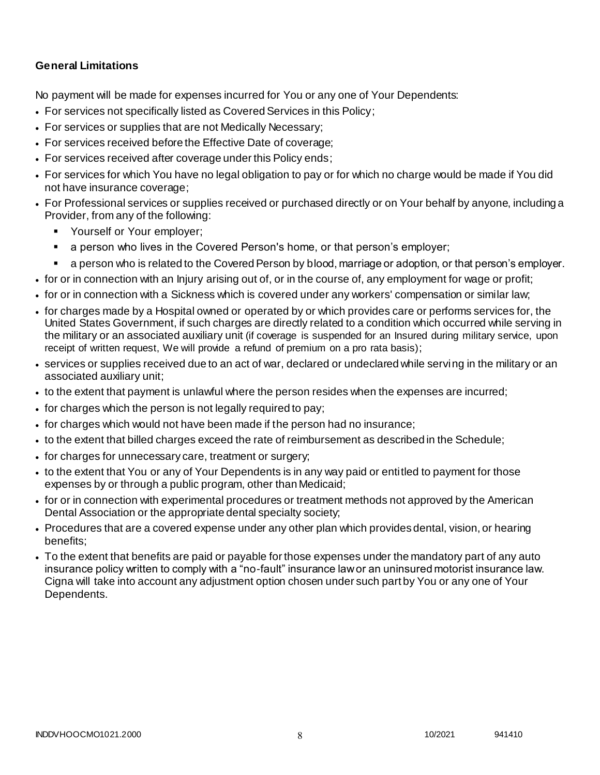## **General Limitations**

No payment will be made for expenses incurred for You or any one of Your Dependents:

- For services not specifically listed as Covered Services in this Policy;
- For services or supplies that are not Medically Necessary;
- For services received before the Effective Date of coverage;
- For services received after coverage under this Policy ends;
- For services for which You have no legal obligation to pay or for which no charge would be made if You did not have insurance coverage;
- For Professional services or supplies received or purchased directly or on Your behalf by anyone, including a Provider, from any of the following:
	- **Yourself or Your employer;**
	- a person who lives in the Covered Person's home, or that person's employer;
	- a person who is related to the Covered Person by blood, marriage or adoption, or that person's employer.
- for or in connection with an Injury arising out of, or in the course of, any employment for wage or profit;
- for or in connection with a Sickness which is covered under any workers' compensation or similar law;
- for charges made by a Hospital owned or operated by or which provides care or performs services for, the United States Government, if such charges are directly related to a condition which occurred while serving in the military or an associated auxiliary unit (if coverage is suspended for an Insured during military service, upon receipt of written request, We will provide a refund of premium on a pro rata basis);
- services or supplies received due to an act of war, declared or undeclared while serving in the military or an associated auxiliary unit;
- to the extent that payment is unlawful where the person resides when the expenses are incurred;
- for charges which the person is not legally required to pay;
- for charges which would not have been made if the person had no insurance;
- to the extent that billed charges exceed the rate of reimbursement as described in the Schedule;
- for charges for unnecessary care, treatment or surgery;
- to the extent that You or any of Your Dependents is in any way paid or entitled to payment for those expenses by or through a public program, other than Medicaid;
- for or in connection with experimental procedures or treatment methods not approved by the American Dental Association or the appropriate dental specialty society;
- Procedures that are a covered expense under any other plan which provides dental, vision, or hearing benefits;
- To the extent that benefits are paid or payable for those expenses under the mandatory part of any auto insurance policy written to comply with a "no-fault" insurance law or an uninsured motorist insurance law. Cigna will take into account any adjustment option chosen under such part by You or any one of Your Dependents.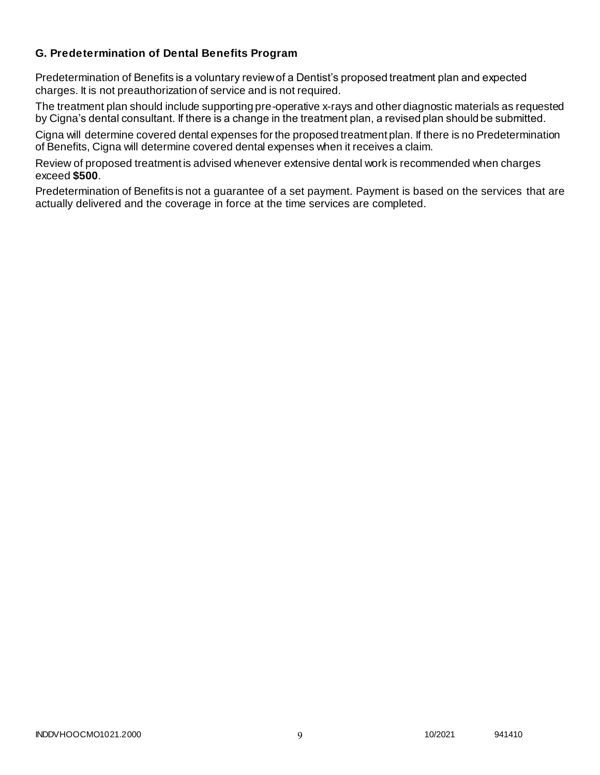## **G. Predetermination of Dental Benefits Program**

Predetermination of Benefits is a voluntary review of a Dentist's proposed treatment plan and expected charges. It is not preauthorization of service and is not required.

The treatment plan should include supporting pre-operative x-rays and other diagnostic materials as requested by Cigna's dental consultant. If there is a change in the treatment plan, a revised plan should be submitted.

Cigna will determine covered dental expenses for the proposed treatment plan. If there is no Predetermination of Benefits, Cigna will determine covered dental expenses when it receives a claim.

Review of proposed treatment is advised whenever extensive dental work is recommended when charges exceed **\$500**.

Predetermination of Benefits is not a guarantee of a set payment. Payment is based on the services that are actually delivered and the coverage in force at the time services are completed.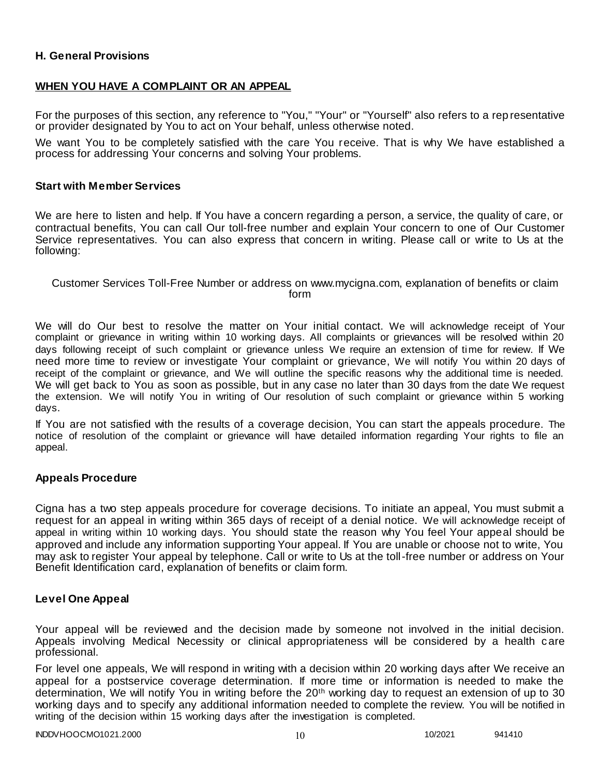## **H. General Provisions**

## **WHEN YOU HAVE A COMPLAINT OR AN APPEAL**

For the purposes of this section, any reference to "You," "Your" or "Yourself" also refers to a rep resentative or provider designated by You to act on Your behalf, unless otherwise noted.

We want You to be completely satisfied with the care You receive. That is why We have established a process for addressing Your concerns and solving Your problems.

#### **Start with Member Services**

We are here to listen and help. If You have a concern regarding a person, a service, the quality of care, or contractual benefits, You can call Our toll-free number and explain Your concern to one of Our Customer Service representatives. You can also express that concern in writing. Please call or write to Us at the following:

Customer Services Toll-Free Number or address on www.mycigna.com, explanation of benefits or claim form

We will do Our best to resolve the matter on Your initial contact. We will acknowledge receipt of Your complaint or grievance in writing within 10 working days. All complaints or grievances will be resolved within 20 days following receipt of such complaint or grievance unless We require an extension of time for review. If We need more time to review or investigate Your complaint or grievance, We will notify You within 20 days of receipt of the complaint or grievance, and We will outline the specific reasons why the additional time is needed. We will get back to You as soon as possible, but in any case no later than 30 days from the date We request the extension. We will notify You in writing of Our resolution of such complaint or grievance within 5 working days.

If You are not satisfied with the results of a coverage decision, You can start the appeals procedure. The notice of resolution of the complaint or grievance will have detailed information regarding Your rights to file an appeal.

#### **Appeals Procedure**

Cigna has a two step appeals procedure for coverage decisions. To initiate an appeal, You must submit a request for an appeal in writing within 365 days of receipt of a denial notice. We will acknowledge receipt of appeal in writing within 10 working days. You should state the reason why You feel Your appeal should be approved and include any information supporting Your appeal. If You are unable or choose not to write, You may ask to register Your appeal by telephone. Call or write to Us at the toll-free number or address on Your Benefit Identification card, explanation of benefits or claim form.

#### **Level One Appeal**

Your appeal will be reviewed and the decision made by someone not involved in the initial decision. Appeals involving Medical Necessity or clinical appropriateness will be considered by a health c are professional.

For level one appeals, We will respond in writing with a decision within 20 working days after We receive an appeal for a postservice coverage determination. If more time or information is needed to make the determination, We will notify You in writing before the 20<sup>th</sup> working day to request an extension of up to 30 working days and to specify any additional information needed to complete the review. You will be notified in writing of the decision within 15 working days after the investigation is completed.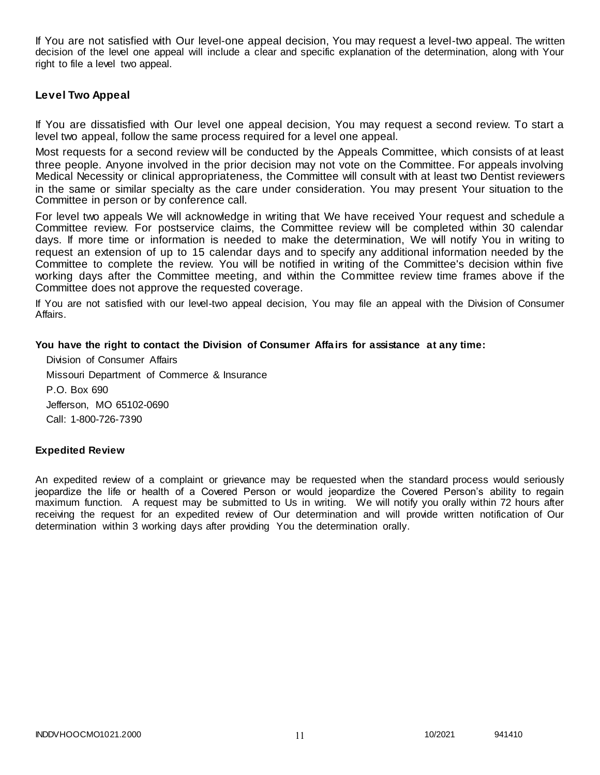If You are not satisfied with Our level-one appeal decision, You may request a level-two appeal. The written decision of the level one appeal will include a clear and specific explanation of the determination, along with Your right to file a level two appeal.

#### **Level Two Appeal**

If You are dissatisfied with Our level one appeal decision, You may request a second review. To start a level two appeal, follow the same process required for a level one appeal.

Most requests for a second review will be conducted by the Appeals Committee, which consists of at least three people. Anyone involved in the prior decision may not vote on the Committee. For appeals involving Medical Necessity or clinical appropriateness, the Committee will consult with at least two Dentist reviewers in the same or similar specialty as the care under consideration. You may present Your situation to the Committee in person or by conference call.

For level two appeals We will acknowledge in writing that We have received Your request and schedule a Committee review. For postservice claims, the Committee review will be completed within 30 calendar days. If more time or information is needed to make the determination, We will notify You in writing to request an extension of up to 15 calendar days and to specify any additional information needed by the Committee to complete the review. You will be notified in writing of the Committee's decision within five working days after the Committee meeting, and within the Committee review time frames above if the Committee does not approve the requested coverage.

If You are not satisfied with our level-two appeal decision, You may file an appeal with the Division of Consumer Affairs.

#### **You have the right to contact the Division of Consumer Affairs for assistance at any time:**

Division of Consumer Affairs Missouri Department of Commerce & Insurance P.O. Box 690 Jefferson, MO 65102-0690 Call: 1-800-726-7390

#### **Expedited Review**

An expedited review of a complaint or grievance may be requested when the standard process would seriously jeopardize the life or health of a Covered Person or would jeopardize the Covered Person's ability to regain maximum function. A request may be submitted to Us in writing. We will notify you orally within 72 hours after receiving the request for an expedited review of Our determination and will provide written notification of Our determination within 3 working days after providing You the determination orally.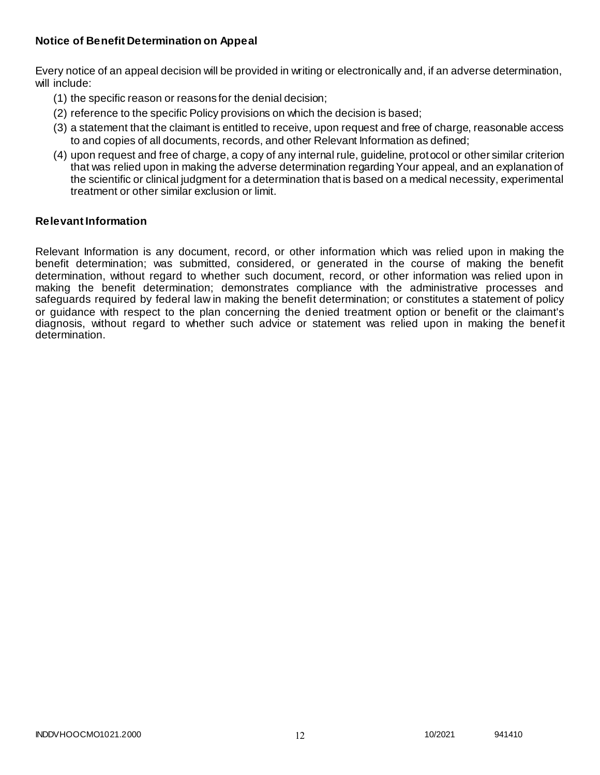## **Notice of Benefit Determination on Appeal**

Every notice of an appeal decision will be provided in writing or electronically and, if an adverse determination, will include:

- (1) the specific reason or reasons for the denial decision;
- (2) reference to the specific Policy provisions on which the decision is based;
- (3) a statement that the claimant is entitled to receive, upon request and free of charge, reasonable access to and copies of all documents, records, and other Relevant Information as defined;
- (4) upon request and free of charge, a copy of any internal rule, guideline, protocol or other similar criterion that was relied upon in making the adverse determination regarding Your appeal, and an explanation of the scientific or clinical judgment for a determination that is based on a medical necessity, experimental treatment or other similar exclusion or limit.

#### **Relevant Information**

Relevant Information is any document, record, or other information which was relied upon in making the benefit determination; was submitted, considered, or generated in the course of making the benefit determination, without regard to whether such document, record, or other information was relied upon in making the benefit determination; demonstrates compliance with the administrative processes and safeguards required by federal law in making the benefit determination; or constitutes a statement of policy or guidance with respect to the plan concerning the denied treatment option or benefit or the claimant's diagnosis, without regard to whether such advice or statement was relied upon in making the benefit determination.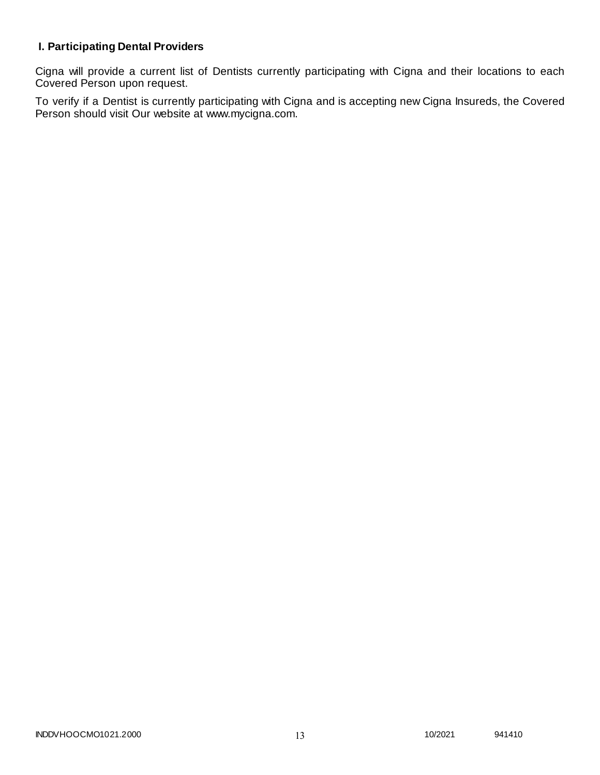# **I. Participating Dental Providers**

Cigna will provide a current list of Dentists currently participating with Cigna and their locations to each Covered Person upon request.

To verify if a Dentist is currently participating with Cigna and is accepting new Cigna Insureds, the Covered Person should visit Our website at www.mycigna.com.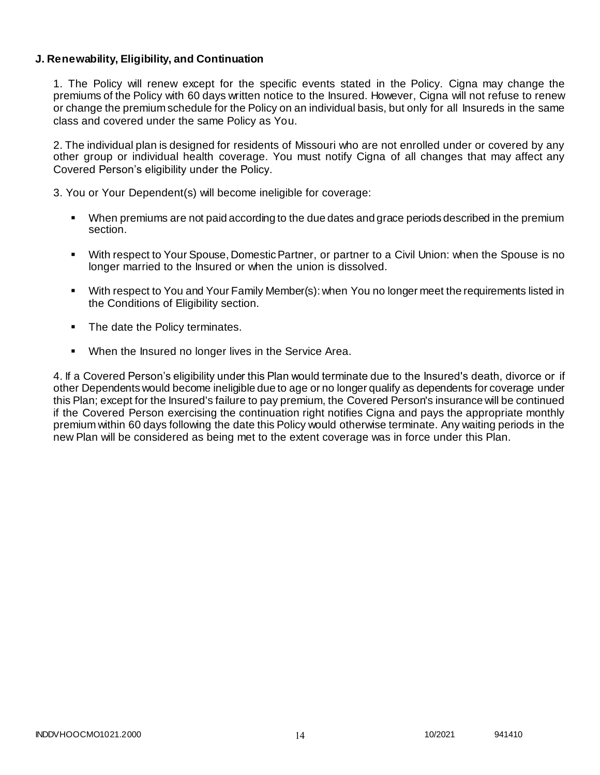## **J. Renewability, Eligibility, and Continuation**

1. The Policy will renew except for the specific events stated in the Policy. Cigna may change the premiums of the Policy with 60 days written notice to the Insured. However, Cigna will not refuse to renew or change the premium schedule for the Policy on an individual basis, but only for all Insureds in the same class and covered under the same Policy as You.

2. The individual plan is designed for residents of Missouri who are not enrolled under or covered by any other group or individual health coverage. You must notify Cigna of all changes that may affect any Covered Person's eligibility under the Policy.

3. You or Your Dependent(s) will become ineligible for coverage:

- When premiums are not paid according to the due dates and grace periods described in the premium section.
- With respect to Your Spouse, Domestic Partner, or partner to a Civil Union: when the Spouse is no longer married to the Insured or when the union is dissolved.
- With respect to You and Your Family Member(s): when You no longer meet the requirements listed in the Conditions of Eligibility section.
- The date the Policy terminates.
- When the Insured no longer lives in the Service Area.

4. If a Covered Person's eligibility under this Plan would terminate due to the Insured's death, divorce or if other Dependents would become ineligible due to age or no longer qualify as dependents for coverage under this Plan; except for the Insured's failure to pay premium, the Covered Person's insurance will be continued if the Covered Person exercising the continuation right notifies Cigna and pays the appropriate monthly premium within 60 days following the date this Policy would otherwise terminate. Any waiting periods in the new Plan will be considered as being met to the extent coverage was in force under this Plan.